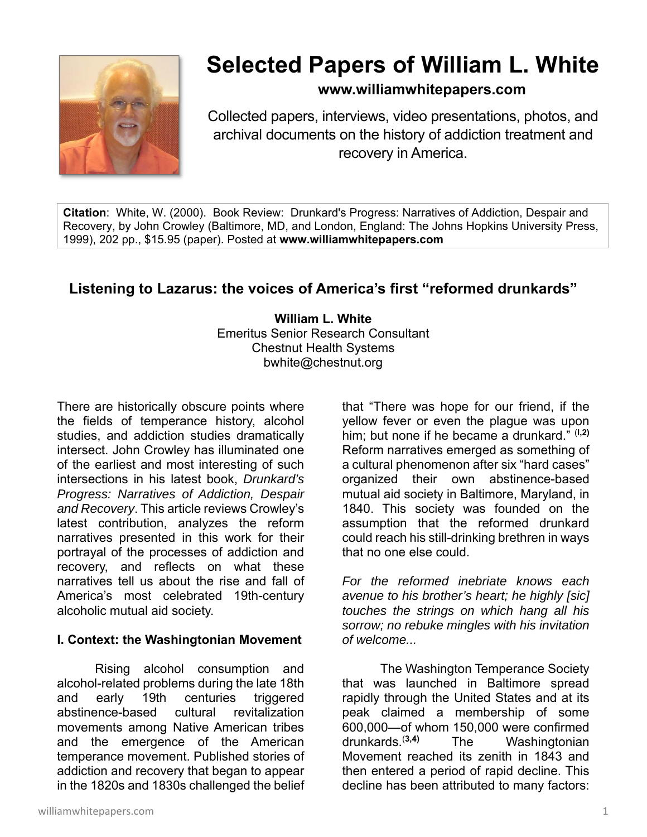

# **Selected Papers of William L. White**

# **www.williamwhitepapers.com**

Collected papers, interviews, video presentations, photos, and archival documents on the history of addiction treatment and recovery in America.

**Citation**: White, W. (2000). Book Review: Drunkard's Progress: Narratives of Addiction, Despair and Recovery, by John Crowley (Baltimore, MD, and London, England: The Johns Hopkins University Press, 1999), 202 pp., \$15.95 (paper). Posted at **www.williamwhitepapers.com** 

# **Listening to Lazarus: the voices of America's first "reformed drunkards"**

**William L. White**  Emeritus Senior Research Consultant Chestnut Health Systems bwhite@chestnut.org

There are historically obscure points where the fields of temperance history, alcohol studies, and addiction studies dramatically intersect. John Crowley has illuminated one of the earliest and most interesting of such intersections in his latest book, *Drunkard's Progress: Narratives of Addiction, Despair and Recovery*. This article reviews Crowley's latest contribution, analyzes the reform narratives presented in this work for their portrayal of the processes of addiction and recovery, and reflects on what these narratives tell us about the rise and fall of America's most celebrated 19th-century alcoholic mutual aid society.

### **I. Context: the Washingtonian Movement**

 Rising alcohol consumption and alcohol-related problems during the late 18th and early 19th centuries triggered abstinence-based cultural revitalization movements among Native American tribes and the emergence of the American temperance movement. Published stories of addiction and recovery that began to appear in the 1820s and 1830s challenged the belief

that "There was hope for our friend, if the yellow fever or even the plague was upon him; but none if he became a drunkard." (**l,2)** Reform narratives emerged as something of a cultural phenomenon after six "hard cases" organized their own abstinence-based mutual aid society in Baltimore, Maryland, in 1840. This society was founded on the assumption that the reformed drunkard could reach his still-drinking brethren in ways that no one else could.

*For the reformed inebriate knows each avenue to his brother's heart; he highly [sic] touches the strings on which hang all his sorrow; no rebuke mingles with his invitation of welcome...* 

 The Washington Temperance Society that was launched in Baltimore spread rapidly through the United States and at its peak claimed a membership of some  $600,000$ —of whom 150,000 were confirmed<br>drunkards  $(3,4)$  The Washingtonian The Washingtonian Movement reached its zenith in 1843 and then entered a period of rapid decline. This decline has been attributed to many factors: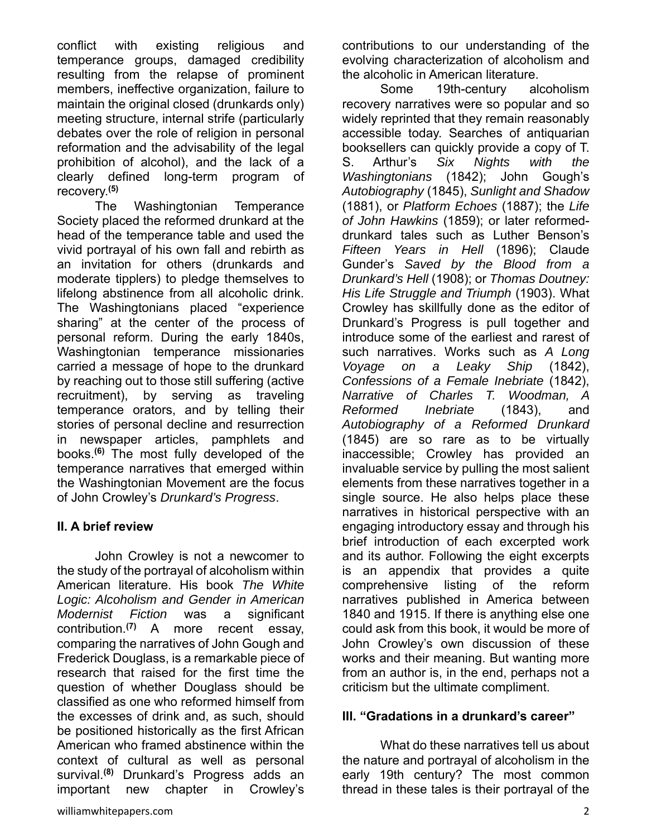conflict with existing religious and temperance groups, damaged credibility resulting from the relapse of prominent members, ineffective organization, failure to maintain the original closed (drunkards only) meeting structure, internal strife (particularly debates over the role of religion in personal reformation and the advisability of the legal prohibition of alcohol), and the lack of a clearly defined long-term program of recovery.**(5)**

 The Washingtonian Temperance Society placed the reformed drunkard at the head of the temperance table and used the vivid portrayal of his own fall and rebirth as an invitation for others (drunkards and moderate tipplers) to pledge themselves to lifelong abstinence from all alcoholic drink. The Washingtonians placed "experience sharing" at the center of the process of personal reform. During the early 1840s, Washingtonian temperance missionaries carried a message of hope to the drunkard by reaching out to those still suffering (active recruitment), by serving as traveling temperance orators, and by telling their stories of personal decline and resurrection in newspaper articles, pamphlets and books.**(6)** The most fully developed of the temperance narratives that emerged within the Washingtonian Movement are the focus of John Crowley's *Drunkard's Progress*.

### **II. A brief review**

 John Crowley is not a newcomer to the study of the portrayal of alcoholism within American literature. His book *The White Logic: Alcoholism and Gender in American Modernist Fiction* was a significant contribution.**(7)** A more recent essay, comparing the narratives of John Gough and Frederick Douglass, is a remarkable piece of research that raised for the first time the question of whether Douglass should be classified as one who reformed himself from the excesses of drink and, as such, should be positioned historically as the first African American who framed abstinence within the context of cultural as well as personal survival.**(8)** Drunkard's Progress adds an important new chapter in Crowley's

contributions to our understanding of the evolving characterization of alcoholism and the alcoholic in American literature.

 Some 19th-century alcoholism recovery narratives were so popular and so widely reprinted that they remain reasonably accessible today. Searches of antiquarian booksellers can quickly provide a copy of T. S. Arthur's *Six Nights with the Washingtonians* (1842); John Gough's *Autobiography* (1845), *Sunlight and Shadow* (1881), or *Platform Echoes* (1887); the *Life of John Hawkins* (1859); or later reformeddrunkard tales such as Luther Benson's *Fifteen Years in Hell* (1896); Claude Gunder's *Saved by the Blood from a Drunkard's Hell* (1908); or *Thomas Doutney: His Life Struggle and Triumph* (1903). What Crowley has skillfully done as the editor of Drunkard's Progress is pull together and introduce some of the earliest and rarest of such narratives. Works such as *A Long Voyage on a Leaky Ship* (1842), *Confessions of a Female Inebriate* (1842), *Narrative of Charles T. Woodman, A Reformed Inebriate* (1843), and *Autobiography of a Reformed Drunkard*  (1845) are so rare as to be virtually inaccessible; Crowley has provided an invaluable service by pulling the most salient elements from these narratives together in a single source. He also helps place these narratives in historical perspective with an engaging introductory essay and through his brief introduction of each excerpted work and its author. Following the eight excerpts is an appendix that provides a quite comprehensive listing of the reform narratives published in America between 1840 and 1915. If there is anything else one could ask from this book, it would be more of John Crowley's own discussion of these works and their meaning. But wanting more from an author is, in the end, perhaps not a criticism but the ultimate compliment.

#### **III. "Gradations in a drunkard's career"**

 What do these narratives tell us about the nature and portrayal of alcoholism in the early 19th century? The most common thread in these tales is their portrayal of the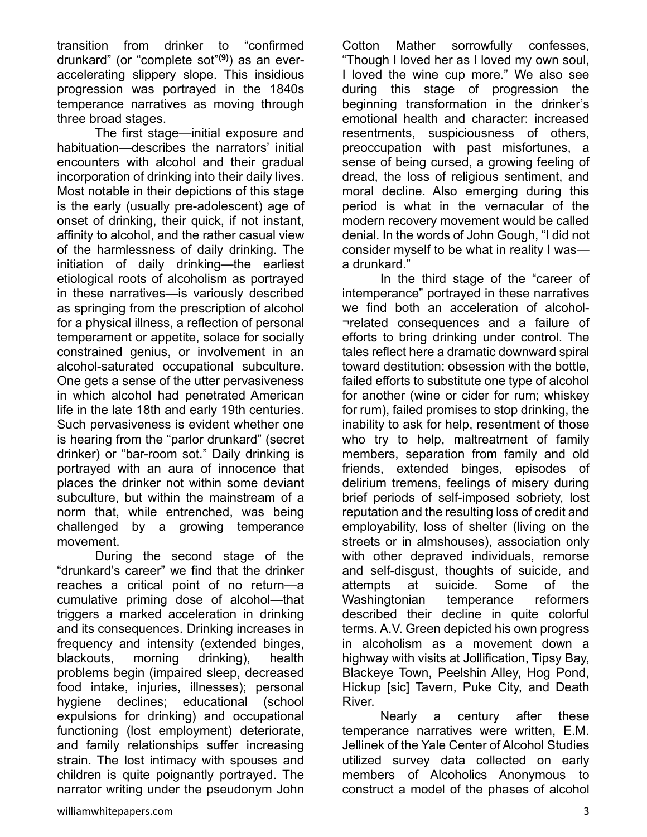transition from drinker to "confirmed drunkard" (or "complete sot"**(9)**) as an everaccelerating slippery slope. This insidious progression was portrayed in the 1840s temperance narratives as moving through three broad stages.

 The first stage—initial exposure and habituation—describes the narrators' initial encounters with alcohol and their gradual incorporation of drinking into their daily lives. Most notable in their depictions of this stage is the early (usually pre-adolescent) age of onset of drinking, their quick, if not instant, affinity to alcohol, and the rather casual view of the harmlessness of daily drinking. The initiation of daily drinking—the earliest etiological roots of alcoholism as portrayed in these narratives—is variously described as springing from the prescription of alcohol for a physical illness, a reflection of personal temperament or appetite, solace for socially constrained genius, or involvement in an alcohol-saturated occupational subculture. One gets a sense of the utter pervasiveness in which alcohol had penetrated American life in the late 18th and early 19th centuries. Such pervasiveness is evident whether one is hearing from the "parlor drunkard" (secret drinker) or "bar-room sot." Daily drinking is portrayed with an aura of innocence that places the drinker not within some deviant subculture, but within the mainstream of a norm that, while entrenched, was being challenged by a growing temperance movement.

 During the second stage of the "drunkard's career" we find that the drinker reaches a critical point of no return—a cumulative priming dose of alcohol—that triggers a marked acceleration in drinking and its consequences. Drinking increases in frequency and intensity (extended binges, blackouts, morning drinking), health problems begin (impaired sleep, decreased food intake, injuries, illnesses); personal hygiene declines; educational (school expulsions for drinking) and occupational functioning (lost employment) deteriorate, and family relationships suffer increasing strain. The lost intimacy with spouses and children is quite poignantly portrayed. The narrator writing under the pseudonym John Cotton Mather sorrowfully confesses, "Though I loved her as I loved my own soul, I loved the wine cup more." We also see during this stage of progression the beginning transformation in the drinker's emotional health and character: increased resentments, suspiciousness of others, preoccupation with past misfortunes, a sense of being cursed, a growing feeling of dread, the loss of religious sentiment, and moral decline. Also emerging during this period is what in the vernacular of the modern recovery movement would be called denial. In the words of John Gough, "I did not consider myself to be what in reality I was a drunkard."

 In the third stage of the "career of intemperance" portrayed in these narratives we find both an acceleration of alcohol- ¬related consequences and a failure of efforts to bring drinking under control. The tales reflect here a dramatic downward spiral toward destitution: obsession with the bottle, failed efforts to substitute one type of alcohol for another (wine or cider for rum; whiskey for rum), failed promises to stop drinking, the inability to ask for help, resentment of those who try to help, maltreatment of family members, separation from family and old friends, extended binges, episodes of delirium tremens, feelings of misery during brief periods of self-imposed sobriety, lost reputation and the resulting loss of credit and employability, loss of shelter (living on the streets or in almshouses), association only with other depraved individuals, remorse and self-disgust, thoughts of suicide, and attempts at suicide. Some of the Washingtonian temperance reformers described their decline in quite colorful terms. A.V. Green depicted his own progress in alcoholism as a movement down a highway with visits at Jollification, Tipsy Bay, Blackeye Town, Peelshin Alley, Hog Pond, Hickup [sic] Tavern, Puke City, and Death River.

 Nearly a century after these temperance narratives were written, E.M. Jellinek of the Yale Center of Alcohol Studies utilized survey data collected on early members of Alcoholics Anonymous to construct a model of the phases of alcohol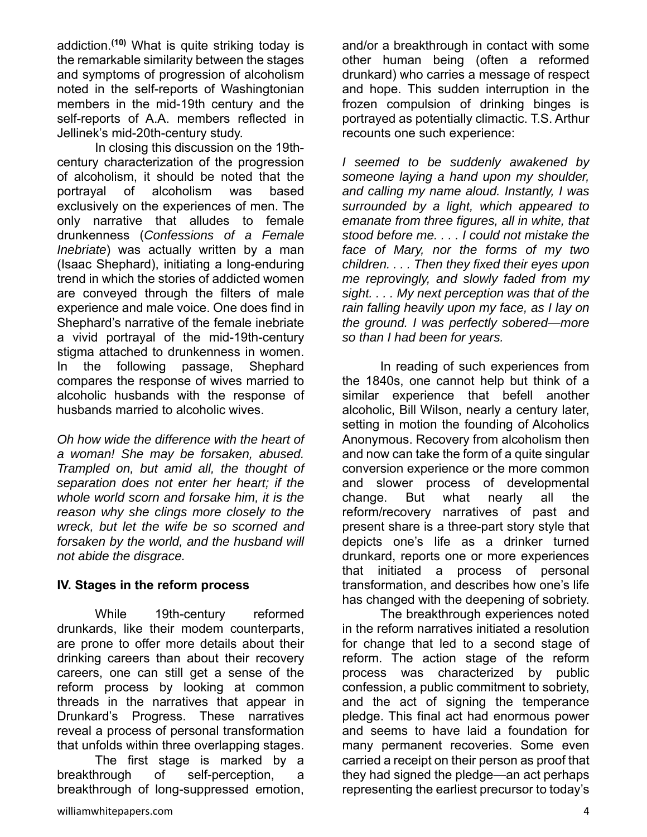addiction.**(10)** What is quite striking today is the remarkable similarity between the stages and symptoms of progression of alcoholism noted in the self-reports of Washingtonian members in the mid-19th century and the self-reports of A.A. members reflected in Jellinek's mid-20th-century study.

In closing this discussion on the 19thcentury characterization of the progression of alcoholism, it should be noted that the portrayal of alcoholism was based exclusively on the experiences of men. The only narrative that alludes to female drunkenness (*Confessions of a Female Inebriate*) was actually written by a man (Isaac Shephard), initiating a long-enduring trend in which the stories of addicted women are conveyed through the filters of male experience and male voice. One does find in Shephard's narrative of the female inebriate a vivid portrayal of the mid-19th-century stigma attached to drunkenness in women. In the following passage, Shephard compares the response of wives married to alcoholic husbands with the response of husbands married to alcoholic wives.

*Oh how wide the difference with the heart of a woman! She may be forsaken, abused. Trampled on, but amid all, the thought of separation does not enter her heart; if the whole world scorn and forsake him, it is the reason why she clings more closely to the wreck, but let the wife be so scorned and forsaken by the world, and the husband will not abide the disgrace.* 

#### **IV. Stages in the reform process**

While 19th-century reformed drunkards, like their modem counterparts, are prone to offer more details about their drinking careers than about their recovery careers, one can still get a sense of the reform process by looking at common threads in the narratives that appear in Drunkard's Progress. These narratives reveal a process of personal transformation that unfolds within three overlapping stages.

 The first stage is marked by a breakthrough of self-perception, a breakthrough of long-suppressed emotion,

and/or a breakthrough in contact with some other human being (often a reformed drunkard) who carries a message of respect and hope. This sudden interruption in the frozen compulsion of drinking binges is portrayed as potentially climactic. T.S. Arthur recounts one such experience:

*I seemed to be suddenly awakened by someone laying a hand upon my shoulder, and calling my name aloud. Instantly, I was surrounded by a light, which appeared to emanate from three figures, all in white, that stood before me. . . . I could not mistake the face of Mary, nor the forms of my two children. . . . Then they fixed their eyes upon me reprovingly, and slowly faded from my sight. . . . My next perception was that of the rain falling heavily upon my face, as I lay on the ground. I was perfectly sobered—more so than I had been for years.* 

 In reading of such experiences from the 1840s, one cannot help but think of a similar experience that befell another alcoholic, Bill Wilson, nearly a century later, setting in motion the founding of Alcoholics Anonymous. Recovery from alcoholism then and now can take the form of a quite singular conversion experience or the more common and slower process of developmental change. But what nearly all the reform/recovery narratives of past and present share is a three-part story style that depicts one's life as a drinker turned drunkard, reports one or more experiences that initiated a process of personal transformation, and describes how one's life has changed with the deepening of sobriety.

 The breakthrough experiences noted in the reform narratives initiated a resolution for change that led to a second stage of reform. The action stage of the reform process was characterized by public confession, a public commitment to sobriety, and the act of signing the temperance pledge. This final act had enormous power and seems to have laid a foundation for many permanent recoveries. Some even carried a receipt on their person as proof that they had signed the pledge—an act perhaps representing the earliest precursor to today's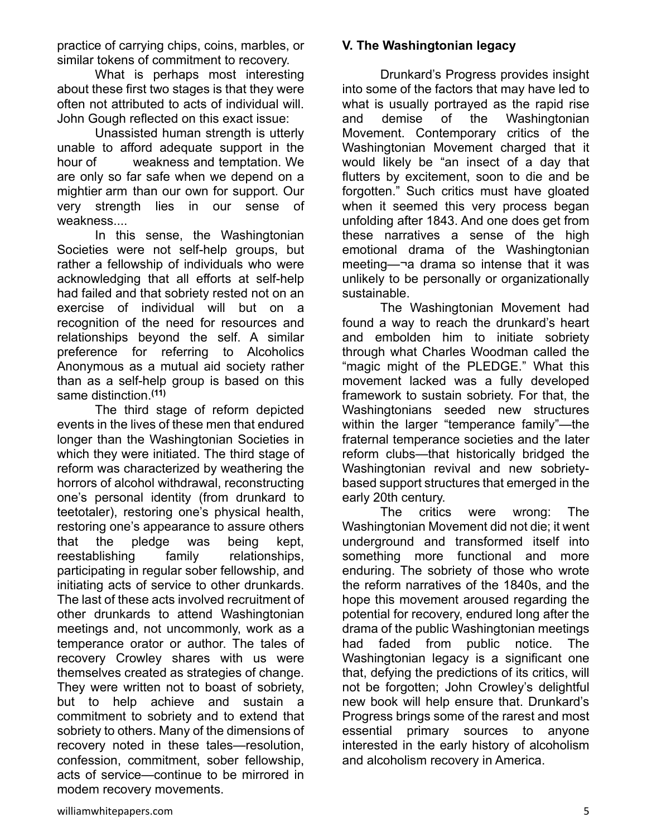practice of carrying chips, coins, marbles, or similar tokens of commitment to recovery.

 What is perhaps most interesting about these first two stages is that they were often not attributed to acts of individual will. John Gough reflected on this exact issue:

 Unassisted human strength is utterly unable to afford adequate support in the hour of weakness and temptation. We are only so far safe when we depend on a mightier arm than our own for support. Our very strength lies in our sense of weakness....

 In this sense, the Washingtonian Societies were not self-help groups, but rather a fellowship of individuals who were acknowledging that all efforts at self-help had failed and that sobriety rested not on an exercise of individual will but on a recognition of the need for resources and relationships beyond the self. A similar preference for referring to Alcoholics Anonymous as a mutual aid society rather than as a self-help group is based on this same distinction.**(11)**

 The third stage of reform depicted events in the lives of these men that endured longer than the Washingtonian Societies in which they were initiated. The third stage of reform was characterized by weathering the horrors of alcohol withdrawal, reconstructing one's personal identity (from drunkard to teetotaler), restoring one's physical health, restoring one's appearance to assure others that the pledge was being kept, reestablishing family relationships, participating in regular sober fellowship, and initiating acts of service to other drunkards. The last of these acts involved recruitment of other drunkards to attend Washingtonian meetings and, not uncommonly, work as a temperance orator or author. The tales of recovery Crowley shares with us were themselves created as strategies of change. They were written not to boast of sobriety, but to help achieve and sustain a commitment to sobriety and to extend that sobriety to others. Many of the dimensions of recovery noted in these tales—resolution, confession, commitment, sober fellowship, acts of service—continue to be mirrored in modem recovery movements.

## **V. The Washingtonian legacy**

 Drunkard's Progress provides insight into some of the factors that may have led to what is usually portrayed as the rapid rise and demise of the Washingtonian Movement. Contemporary critics of the Washingtonian Movement charged that it would likely be "an insect of a day that flutters by excitement, soon to die and be forgotten." Such critics must have gloated when it seemed this very process began unfolding after 1843. And one does get from these narratives a sense of the high emotional drama of the Washingtonian meeting—¬a drama so intense that it was unlikely to be personally or organizationally sustainable.

 The Washingtonian Movement had found a way to reach the drunkard's heart and embolden him to initiate sobriety through what Charles Woodman called the "magic might of the PLEDGE." What this movement lacked was a fully developed framework to sustain sobriety. For that, the Washingtonians seeded new structures within the larger "temperance family"—the fraternal temperance societies and the later reform clubs—that historically bridged the Washingtonian revival and new sobrietybased support structures that emerged in the early 20th century.

 The critics were wrong: The Washingtonian Movement did not die; it went underground and transformed itself into something more functional and more enduring. The sobriety of those who wrote the reform narratives of the 1840s, and the hope this movement aroused regarding the potential for recovery, endured long after the drama of the public Washingtonian meetings had faded from public notice. The Washingtonian legacy is a significant one that, defying the predictions of its critics, will not be forgotten; John Crowley's delightful new book will help ensure that. Drunkard's Progress brings some of the rarest and most essential primary sources to anyone interested in the early history of alcoholism and alcoholism recovery in America.